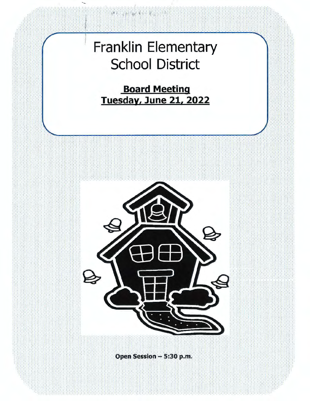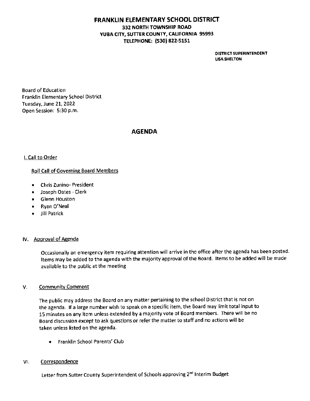# **FRANKLIN ELEMENTARY SCHOOL DISTRICT 332 NORTH TOWNSHIP ROAD YUBA CITY, SUTTER COUNTY, CALIFORNIA 95993 TELEPHONE; (530) 822-5151**

**DISTRICT SUPERINTENDENT LISA SHELTON** 

Board of Education Franklin Elementary School District Tuesday, June 21, 2022 Open Session: 5:30 p.m.

# **AGENDA**

### I. Call to Order

### Roll Call of Governing Board Members

- Chris Zunino- President
- Joseph Oates Clerk
- Glenn Houston
- Ryan O'Neal
- Jill Patrick

### IV. Approval of Agenda

Occasionally an emergency item requiring attention will arrive in the office after the agenda has been posted. Items may be added to the agenda with the majority approval of the Board. Items to be added will be made available to the public at the meeting

#### V. Community Comment

The public may address the Board on any matter pertaining to the school District that is not on the agenda. If a large number wish to speak on a specific item, the Board may limit total input to 15 minutes on any item unless extended by a majority vote of Board members. There will be no Board discussion except to ask questions or refer the matter to staff and no actions will be taken unless listed on the agenda.

• Franklin School Parents' Club

#### VI. **Correspondence**

Letter from Sutter County Superintendent of Schools approving 2<sup>nd</sup> Interim Budget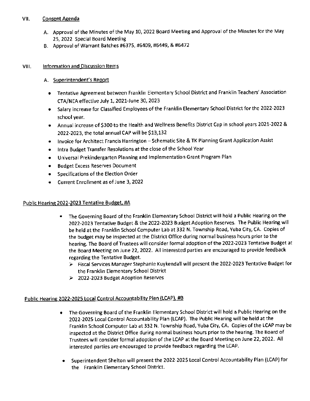# VII. Consent Agenda

- A. Approval of the Minutes of the May 10, 2022 Board Meeting and Approval of the Minutes for the May 25, 2022 Special Board Meeting
- B. Approval of Warrant Batches #6375, #6409, #6449, & #6472

## VIII. **Information and Discussion Items**

# A. Superintendent's Report

- Tentative Agreement between Franklin Elementary School District and Franklin Teachers' Association CTA/NEA effective July 1, 2021-June 30, 2023
- Salary increase for Classified Employees of the Franklin Elementary School District for the 2022-2023 school year.
- Annual increase of \$300 to the Health and Wellness Benefits District Cap in school years 2021-2022 & 2022-2023, the total annual CAP will be \$13,132
- Invoice for Architect Francis Harrington Schematic Site & TK Planning Grant Application Assist
- Intra Budget Transfer Resolutions at the close of the School Year
- Universal Prekindergarten Planning and Implementation Grant Program Plan
- Budget Excess Reserves Document
- Specifications of the Election Order
- Current Enrollment as of June 3, 2022

## Public Hearing 2022-2023 Tentative Budget, #A

- The Governing Board of the Franklin Elementary School District will hold a Public Hearing on the 2022-2023 Tentative Budget & the 2022-2023 Budget Adoption Reserves. The Public Hearing will be held at the Franklin School Computer Lab at 332 N. Township Road, Yuba City, CA. Copies of the budget may be inspected at the District Office during normal business hours prior to the hearing. The Board of Trustees will consider formal adoption of the 2022-2023 Tentative Budget at the Board Meeting on June 22, 2022. All interested parties are encouraged to provide feedback regarding the Tentative Budget.
	- ► Fiscal Services Manager Stephanie Kuykendall will present the 2022-2023 Tentative Budget for the Franklin Elementary School District
	- ► 2022-2023 Budget Adoption Reserves

# Public Hearing 2022-2025 Local Control Accountability Plan (LCAP), #B

- The Governing Board of the Franklin Elementary School District will hold a Public Hearing on the 2022-2025 local Control Accountability Plan (LCAP). The Public Hearing will be held at the Franklin School Computer Lab at 332 N. Township Road, Yuba City, CA. Copies of the LCAP may be inspected at the District Office during normal business hours prior to the hearing. The Board of Trustees will consider formal adoption of the LCAP at the Board Meeting on June 22, 2022. All interested parties are encouraged to provide feedback regarding the LCAP.
- Superintendent Shelton will present the 2022-2025 Local Control Accountability Plan (LCAP) for the Franklin Elementary School District.